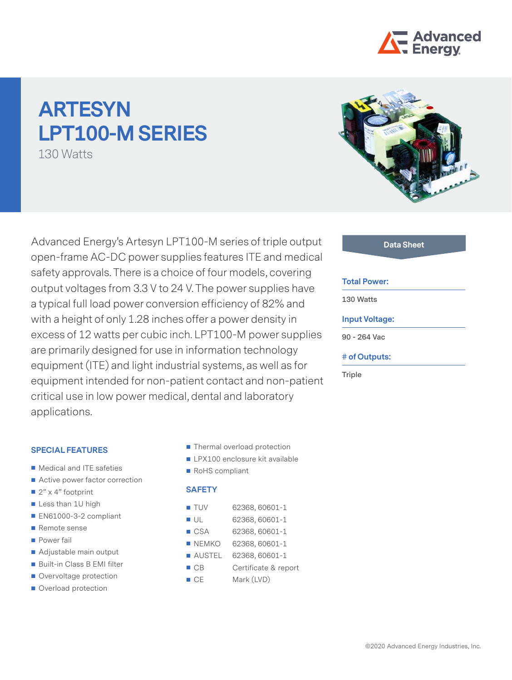

# **ARTESYN LPT100-M Series**

130 Watts

Advanced Energy's Artesyn LPT100-M series of triple output open-frame AC-DC power supplies features ITE and medical safety approvals. There is a choice of four models, covering output voltages from 3.3 V to 24 V. The power supplies have a typical full load power conversion efficiency of 82% and with a height of only 1.28 inches offer a power density in excess of 12 watts per cubic inch. LPT100-M power supplies are primarily designed for use in information technology equipment (ITE) and light industrial systems, as well as for equipment intended for non-patient contact and non-patient critical use in low power medical, dental and laboratory applications.

### **Special Features**

- Medical and ITE safeties
- Active power factor correction
- $\blacksquare$  2" x 4" footprint
- Less than 1U high
- EN61000-3-2 compliant
- Remote sense
- **Power fail**
- Adjustable main output
- Built-in Class B EMI filter
- Overvoltage protection
- Overload protection
- Thermal overload protection
- **LPX100** enclosure kit available
- RoHS compliant

#### **Safety**

| $\blacksquare$ TUV | 62368, 60601-1 |
|--------------------|----------------|
| ■ UL               | 62368, 60601-1 |

| $\blacksquare$ CSA | 62368, 60601-1 |
|--------------------|----------------|
|                    |                |

- NEMKO 62368, 60601-1
- **AUSTEL 62368, 60601-1**
- CB Certificate & report
- CE Mark (LVD)



### **Data Sheet**

#### **Total Power:**

**130 Watts**

#### **Input Voltage:**

**90 - 264 Vac**

#### **# of Outputs:**

**Triple**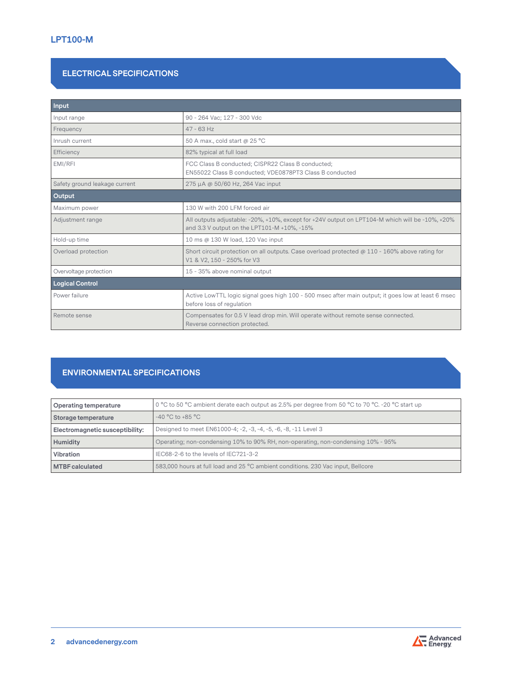## **ELECTRICAL SPECIFICATIONS**

| Input                         |                                                                                                                                                |  |
|-------------------------------|------------------------------------------------------------------------------------------------------------------------------------------------|--|
| Input range                   | 90 - 264 Vac; 127 - 300 Vdc                                                                                                                    |  |
| Frequency                     | $47 - 63$ Hz                                                                                                                                   |  |
| Inrush current                | 50 A max., cold start @ 25 °C                                                                                                                  |  |
| Efficiency                    | 82% typical at full load                                                                                                                       |  |
| EMI/RFI                       | FCC Class B conducted; CISPR22 Class B conducted;<br>EN55022 Class B conducted; VDE0878PT3 Class B conducted                                   |  |
| Safety ground leakage current | 275 µA @ 50/60 Hz, 264 Vac input                                                                                                               |  |
| Output                        |                                                                                                                                                |  |
| Maximum power                 | 130 W with 200 LFM forced air                                                                                                                  |  |
| Adjustment range              | All outputs adjustable: -20%, +10%, except for +24V output on LPT104-M which will be -10%, +20%<br>and 3.3 V output on the LPT101-M +10%, -15% |  |
| Hold-up time                  | 10 ms @ 130 W load, 120 Vac input                                                                                                              |  |
| Overload protection           | Short circuit protection on all outputs. Case overload protected $\omega$ 110 - 160% above rating for<br>V1 & V2, 150 - 250% for V3            |  |
| Overvoltage protection        | 15 - 35% above nominal output                                                                                                                  |  |
| <b>Logical Control</b>        |                                                                                                                                                |  |
| Power failure                 | Active LowTTL logic signal goes high 100 - 500 msec after main output; it goes low at least 6 msec<br>before loss of regulation                |  |
| Remote sense                  | Compensates for 0.5 V lead drop min. Will operate without remote sense connected.<br>Reverse connection protected.                             |  |

## **Environmental Specifications**

| Operating temperature           | 0 °C to 50 °C ambient derate each output as 2.5% per degree from 50 °C to 70 °C. -20 °C start up |
|---------------------------------|--------------------------------------------------------------------------------------------------|
| Storage temperature             | $-40 °C$ to $+85 °C$                                                                             |
| Electromagnetic susceptibility: | Designed to meet EN61000-4; -2, -3, -4, -5, -6, -8, -11 Level 3                                  |
| Humidity                        | Operating; non-condensing 10% to 90% RH, non-operating, non-condensing 10% - 95%                 |
| Vibration                       | IEC68-2-6 to the levels of IEC721-3-2                                                            |
| <b>MTBF</b> calculated          | 583,000 hours at full load and 25 °C ambient conditions. 230 Vac input, Bellcore                 |

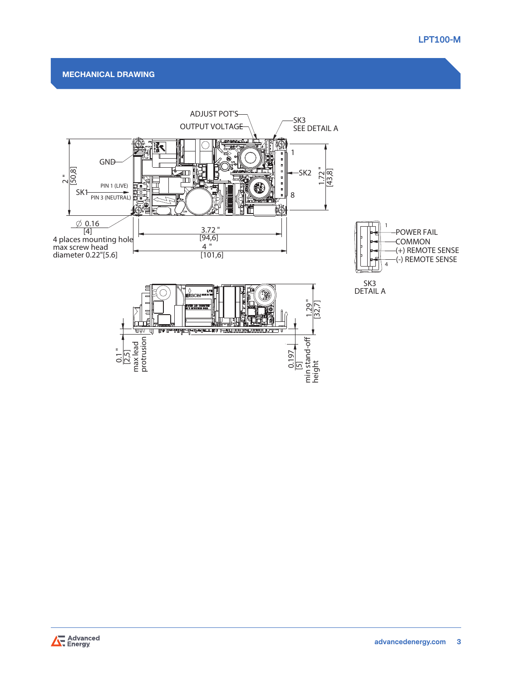## Mechanical Drawing



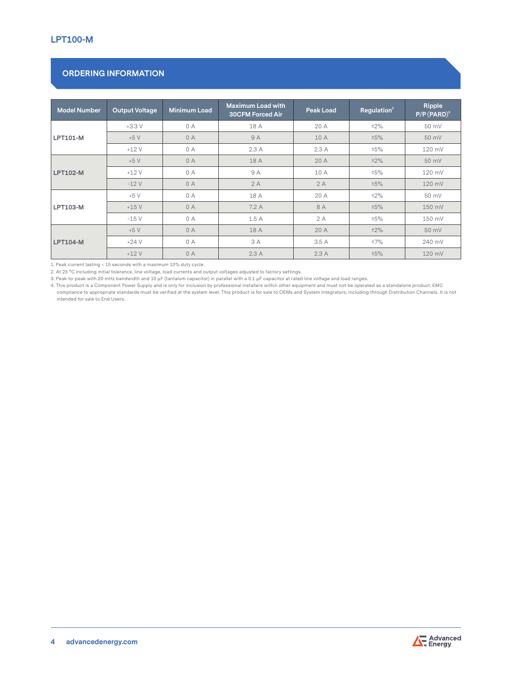## **Ordering Information**

| <b>Model Number</b> | <b>Output Voltage</b> | <b>Minimum Load</b> | <b>Maximum Load with</b><br><b>30CFM Forced Air</b> | <b>Peak Load</b> | Regulation <sup>2</sup> | Ripple<br>$P/P(PARD)^3$ |
|---------------------|-----------------------|---------------------|-----------------------------------------------------|------------------|-------------------------|-------------------------|
|                     | $+3.3V$               | 0A                  | 18 A                                                | 20 A             | ±2%                     | 50 mV                   |
| <b>LPT101-M</b>     | $+5V$                 | 0A                  | 9 A                                                 | 10 A             | ±5%                     | 50 mV                   |
|                     | $+12V$                | 0A                  | 2.3A                                                | 2.3A             | ±5%                     | 120 mV                  |
|                     | $+5V$                 | 0A                  | 18 A                                                | 20 A             | ±2%                     | 50 mV                   |
| <b>LPT102-M</b>     | $+12V$                | 0A                  | 9 A                                                 | 10 A             | ±5%                     | 120 mV                  |
|                     | $-12V$                | 0A                  | 2A                                                  | 2A               | ±5%                     | 120 mV                  |
|                     | $+5V$                 | 0 A                 | 18 A                                                | 20 A             | ±2%                     | 50 mV                   |
| <b>LPT103-M</b>     | $+15V$                | 0A                  | 7.2A                                                | 8 A              | ±5%                     | 150 mV                  |
|                     | $-15V$                | 0A                  | 1.5A                                                | 2A               | ±5%                     | 150 mV                  |
| <b>LPT104-M</b>     | $+5V$                 | 0A                  | 18 A                                                | 20 A             | ±2%                     | 50 mV                   |
|                     | $+24V$                | 0A                  | 3 A                                                 | 3.5 A            | ±7%                     | 240 mV                  |
|                     | $+12V$                | 0A                  | 2.3A                                                | 2.3A             | ±5%                     | 120 mV                  |

1. Peak current lasting < 15 seconds with a maximum 10% duty cycle.

2. At 25 °C including initial tolerance, line voltage, load currents and output voltages adjusted to factory settings.

3. Peak-to-peak with 20 mHz bandwidth and 10 µF (tantalum capacitor) in parallel with a 0.1 µF capacitor at rated line voltage and load ranges.

4. This product is a Component Power Supply and is only for inclusion by professional installers within other equipment and must not be operated as a standalone product. EMC compliance to appropriate standards must be verified at the system level. This product is for sale to OEMs and System Integrators, including through Distribution Channels. It is not intended for sale to End Users.



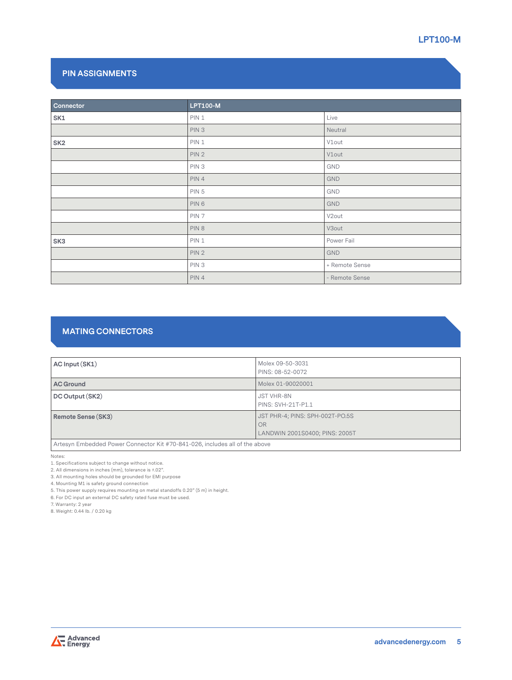## **LPT100-M**

## **Pin Assignments**

| Connector       | <b>LPT100-M</b>  |                   |
|-----------------|------------------|-------------------|
| SK1             | PIN 1            | Live              |
|                 | PIN <sub>3</sub> | Neutral           |
| SK <sub>2</sub> | PIN 1            | V1out             |
|                 | PIN <sub>2</sub> | V1out             |
|                 | PIN <sub>3</sub> | GND               |
|                 | PIN 4            | GND               |
|                 | PIN <sub>5</sub> | GND               |
|                 | PIN 6            | GND               |
|                 | PIN <sub>7</sub> | V <sub>2out</sub> |
|                 | PIN 8            | V3out             |
| SK3             | PIN 1            | Power Fail        |
|                 | PIN <sub>2</sub> | GND               |
|                 | PIN <sub>3</sub> | + Remote Sense    |
|                 | PIN 4            | - Remote Sense    |

## **Mating Connectors**

| AC Input (SK1)                                                              | Molex 09-50-3031<br>PINS: 08-52-0072                                    |  |
|-----------------------------------------------------------------------------|-------------------------------------------------------------------------|--|
| <b>AC Ground</b>                                                            | Molex 01-90020001                                                       |  |
| DC Output (SK2)                                                             | <b>JST VHR-8N</b><br>PINS: SVH-21T-P1.1                                 |  |
| Remote Sense (SK3)                                                          | JST PHR-4; PINS: SPH-002T-PO.5S<br>OR<br>LANDWIN 2001S0400; PINS: 2005T |  |
| Artesyn Embedded Power Connector Kit #70-841-026, includes all of the above |                                                                         |  |

Notes:

1. Specifications subject to change without notice.

2. All dimensions in inches (mm), tolerance is ±.02".

3. All mounting holes should be grounded for EMI purpose

4. Mounting M1 is safety ground connection

5. This power supply requires mounting on metal standoffs 0.20" (5 m) in height.

6. For DC input an external DC safety rated fuse must be used.

7. Warranty: 2 year

8. Weight: 0.44 lb. / 0.20 kg